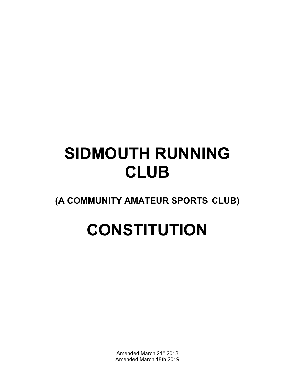# **SIDMOUTH RUNNING CLUB**

**(A COMMUNITY AMATEUR SPORTS CLUB)**

# **CONSTITUTION**

Amended March 21st 2018 Amended March 18th 2019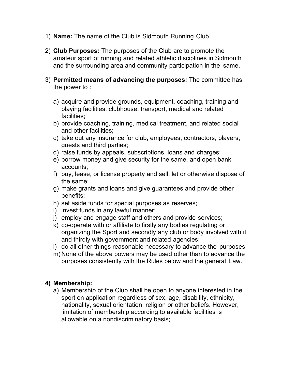- 1) **Name:** The name of the Club is Sidmouth Running Club.
- 2) **Club Purposes:** The purposes of the Club are to promote the amateur sport of running and related athletic disciplines in Sidmouth and the surrounding area and community participation in the same.
- 3) **Permitted means of advancing the purposes:** The committee has the power to :
	- a) acquire and provide grounds, equipment, coaching, training and playing facilities, clubhouse, transport, medical and related facilities;
	- b) provide coaching, training, medical treatment, and related social and other facilities;
	- c) take out any insurance for club, employees, contractors, players, guests and third parties;
	- d) raise funds by appeals, subscriptions, loans and charges;
	- e) borrow money and give security for the same, and open bank accounts;
	- f) buy, lease, or license property and sell, let or otherwise dispose of the same;
	- g) make grants and loans and give guarantees and provide other benefits;
	- h) set aside funds for special purposes as reserves;
	- i) invest funds in any lawful manner;
	- j) employ and engage staff and others and provide services;
	- k) co-operate with or affiliate to firstly any bodies regulating or organizing the Sport and secondly any club or body involved with it and thirdly with government and related agencies;
	- l) do all other things reasonable necessary to advance the purposes
	- m)None of the above powers may be used other than to advance the purposes consistently with the Rules below and the general Law.

#### **4) Membership:**

a) Membership of the Club shall be open to anyone interested in the sport on application regardless of sex, age, disability, ethnicity, nationality, sexual orientation, religion or other beliefs. However, limitation of membership according to available facilities is allowable on a nondiscriminatory basis;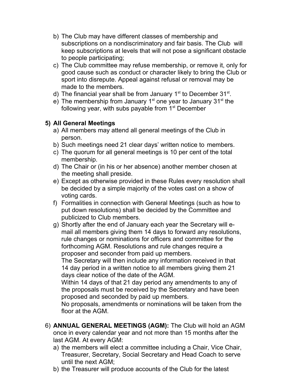- b) The Club may have different classes of membership and subscriptions on a nondiscriminatory and fair basis. The Club will keep subscriptions at levels that will not pose a significant obstacle to people participating;
- c) The Club committee may refuse membership, or remove it, only for good cause such as conduct or character likely to bring the Club or sport into disrepute. Appeal against refusal or removal may be made to the members.
- d) The financial year shall be from January  $1<sup>st</sup>$  to December  $31<sup>st</sup>$ .
- e) The membership from January  $1<sup>st</sup>$  one year to January  $31<sup>st</sup>$  the following year, with subs payable from  $1<sup>st</sup>$  December

# **5) All General Meetings**

- a) All members may attend all general meetings of the Club in person.
- b) Such meetings need 21 clear days' written notice to members.
- c) The quorum for all general meetings is 10 per cent of the total membership.
- d) The Chair or (in his or her absence) another member chosen at the meeting shall preside.
- e) Except as otherwise provided in these Rules every resolution shall be decided by a simple majority of the votes cast on a show of voting cards.
- f) Formalities in connection with General Meetings (such as how to put down resolutions) shall be decided by the Committee and publicized to Club members.
- g) Shortly after the end of January each year the Secretary will email all members giving them 14 days to forward any resolutions, rule changes or nominations for officers and committee for the forthcoming AGM. Resolutions and rule changes require a proposer and seconder from paid up members.

The Secretary will then include any information received in that 14 day period in a written notice to all members giving them 21 days clear notice of the date of the AGM.

Within 14 days of that 21 day period any amendments to any of the proposals must be received by the Secretary and have been proposed and seconded by paid up members.

No proposals, amendments or nominations will be taken from the floor at the AGM.

- 6) **ANNUAL GENERAL MEETINGS (AGM):** The Club will hold an AGM once in every calendar year and not more than 15 months after the last AGM. At every AGM:
	- a) the members will elect a committee including a Chair, Vice Chair, Treasurer, Secretary, Social Secretary and Head Coach to serve until the next AGM;
	- b) the Treasurer will produce accounts of the Club for the latest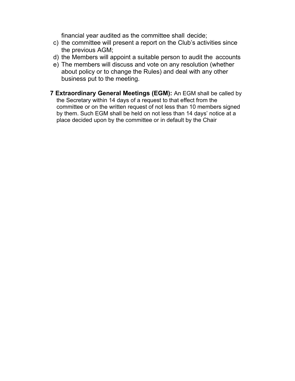financial year audited as the committee shall decide;

- c) the committee will present a report on the Club's activities since the previous AGM;
- d) the Members will appoint a suitable person to audit the accounts
- e) The members will discuss and vote on any resolution (whether about policy or to change the Rules) and deal with any other business put to the meeting.
- **7 Extraordinary General Meetings (EGM):** An EGM shall be called by the Secretary within 14 days of a request to that effect from the committee or on the written request of not less than 10 members signed by them. Such EGM shall be held on not less than 14 days' notice at a place decided upon by the committee or in default by the Chair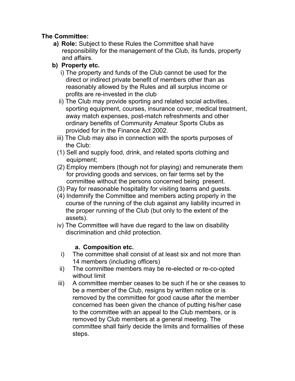#### **The Committee:**

**a) Role:** Subject to these Rules the Committee shall have responsibility for the management of the Club, its funds, property and affairs.

### **b) Property etc.**

- i) The property and funds of the Club cannot be used for the direct or indirect private benefit of members other than as reasonably allowed by the Rules and all surplus income or profits are re-invested in the club
- ii) The Club may provide sporting and related social activities, sporting equipment, courses, insurance cover, medical treatment, away match expenses, post-match refreshments and other ordinary benefits of Community Amateur Sports Clubs as provided for in the Finance Act 2002.
- iii) The Club may also in connection with the sports purposes of the Club:
- (1) Sell and supply food, drink, and related sports clothing and equipment;
- (2) Employ members (though not for playing) and remunerate them for providing goods and services, on fair terms set by the committee without the persons concerned being present.
- (3) Pay for reasonable hospitality for visiting teams and guests.
- (4) Indemnify the Committee and members acting properly in the course of the running of the club against any liability incurred in the proper running of the Club (but only to the extent of the assets).
- iv) The Committee will have due regard to the law on disability discrimination and child protection.

#### **a. Composition etc.**

- i) The committee shall consist of at least six and not more than 14 members (including officers)
- ii) The committee members may be re-elected or re-co-opted without limit
- iii) A committee member ceases to be such if he or she ceases to be a member of the Club, resigns by written notice or is removed by the committee for good cause after the member concerned has been given the chance of putting his/her case to the committee with an appeal to the Club members, or is removed by Club members at a general meeting. The committee shall fairly decide the limits and formalities of these steps.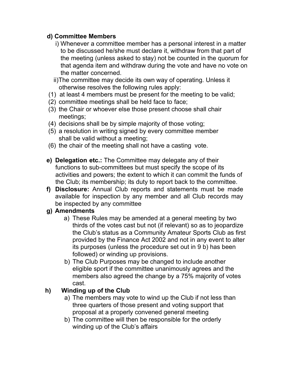### **d) Committee Members**

- i) Whenever a committee member has a personal interest in a matter to be discussed he/she must declare it, withdraw from that part of the meeting (unless asked to stay) not be counted in the quorum for that agenda item and withdraw during the vote and have no vote on the matter concerned.
- ii)The committee may decide its own way of operating. Unless it otherwise resolves the following rules apply:
- (1) at least 4 members must be present for the meeting to be valid;
- (2) committee meetings shall be held face to face;
- (3) the Chair or whoever else those present choose shall chair meetings;
- (4) decisions shall be by simple majority of those voting;
- (5) a resolution in writing signed by every committee member shall be valid without a meeting;
- (6) the chair of the meeting shall not have a casting vote.
- **e) Delegation etc.:** The Committee may delegate any of their functions to sub-committees but must specify the scope of its activities and powers; the extent to which it can commit the funds of the Club; its membership; its duty to report back to the committee.
- **f) Disclosure:** Annual Club reports and statements must be made available for inspection by any member and all Club records may be inspected by any committee

### **g) Amendments**

- a) These Rules may be amended at a general meeting by two thirds of the votes cast but not (if relevant) so as to jeopardize the Club's status as a Community Amateur Sports Club as first provided by the Finance Act 2002 and not in any event to alter its purposes (unless the procedure set out in 9 b) has been followed) or winding up provisions.
- b) The Club Purposes may be changed to include another eligible sport if the committee unanimously agrees and the members also agreed the change by a 75% majority of votes cast.

# **h) Winding up of the Club**

- a) The members may vote to wind up the Club if not less than three quarters of those present and voting support that proposal at a properly convened general meeting
- b) The committee will then be responsible for the orderly winding up of the Club's affairs